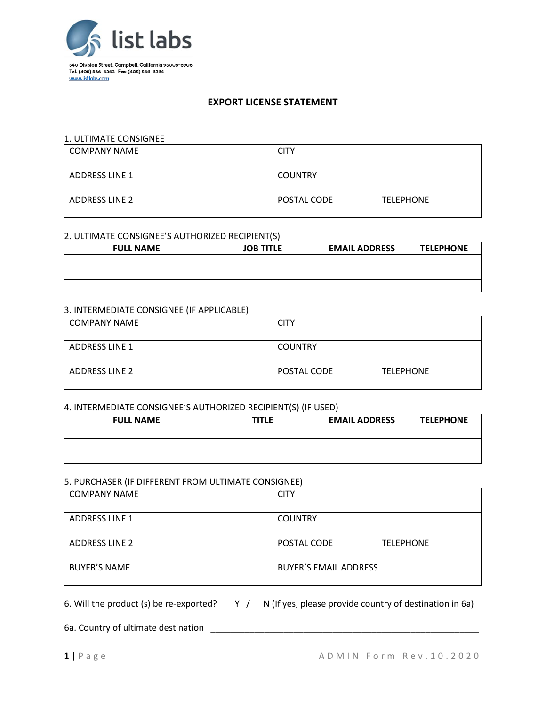

# **EXPORT LICENSE STATEMENT**

#### 1. ULTIMATE CONSIGNEE

| <b>COMPANY NAME</b>   | <b>CITY</b>    |                  |
|-----------------------|----------------|------------------|
| ADDRESS LINE 1        | <b>COUNTRY</b> |                  |
| <b>ADDRESS LINE 2</b> | POSTAL CODE    | <b>TELEPHONE</b> |

### 2. ULTIMATE CONSIGNEE'S AUTHORIZED RECIPIENT(S)

| <b>FULL NAME</b> | <b>JOB TITLE</b> | <b>EMAIL ADDRESS</b> | <b>TELEPHONE</b> |
|------------------|------------------|----------------------|------------------|
|                  |                  |                      |                  |
|                  |                  |                      |                  |
|                  |                  |                      |                  |

#### 3. INTERMEDIATE CONSIGNEE (IF APPLICABLE)

| <b>COMPANY NAME</b>   | <b>CITY</b>    |                  |
|-----------------------|----------------|------------------|
| <b>ADDRESS LINE 1</b> | <b>COUNTRY</b> |                  |
| <b>ADDRESS LINE 2</b> | POSTAL CODE    | <b>TELEPHONE</b> |

### 4. INTERMEDIATE CONSIGNEE'S AUTHORIZED RECIPIENT(S) (IF USED)

| <b>FULL NAME</b> | <b>TITLE</b> | <b>EMAIL ADDRESS</b> | <b>TELEPHONE</b> |
|------------------|--------------|----------------------|------------------|
|                  |              |                      |                  |
|                  |              |                      |                  |
|                  |              |                      |                  |

### 5. PURCHASER (IF DIFFERENT FROM ULTIMATE CONSIGNEE)

| <b>COMPANY NAME</b>   | <b>CITY</b>                  |                  |
|-----------------------|------------------------------|------------------|
| <b>ADDRESS LINE 1</b> | <b>COUNTRY</b>               |                  |
| <b>ADDRESS LINE 2</b> | POSTAL CODE                  | <b>TELEPHONE</b> |
| <b>BUYER'S NAME</b>   | <b>BUYER'S EMAIL ADDRESS</b> |                  |

# 6. Will the product (s) be re-exported?  $Y / N$  (If yes, please provide country of destination in 6a)

6a. Country of ultimate destination \_\_\_\_\_\_\_\_\_\_\_\_\_\_\_\_\_\_\_\_\_\_\_\_\_\_\_\_\_\_\_\_\_\_\_\_\_\_\_\_\_\_\_\_\_\_\_\_\_\_\_\_\_\_\_